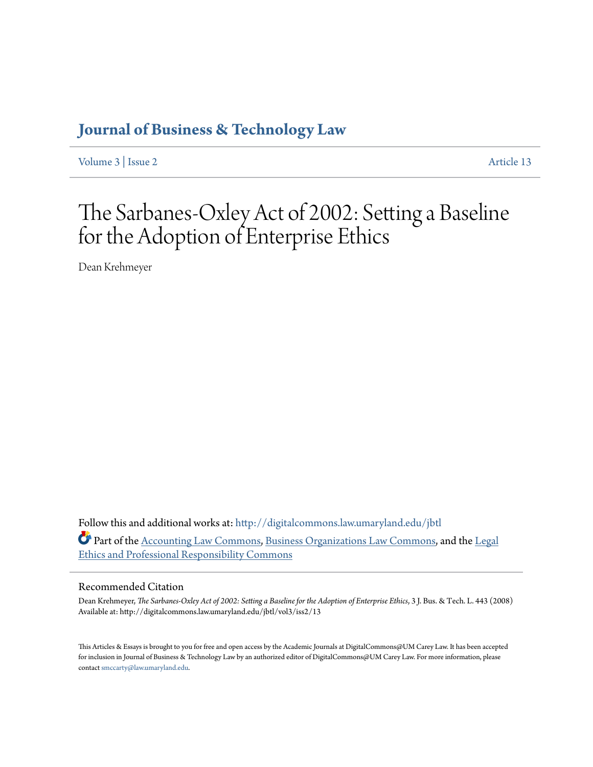## **[Journal of Business & Technology Law](http://digitalcommons.law.umaryland.edu/jbtl?utm_source=digitalcommons.law.umaryland.edu%2Fjbtl%2Fvol3%2Fiss2%2F13&utm_medium=PDF&utm_campaign=PDFCoverPages)**

[Volume 3](http://digitalcommons.law.umaryland.edu/jbtl/vol3?utm_source=digitalcommons.law.umaryland.edu%2Fjbtl%2Fvol3%2Fiss2%2F13&utm_medium=PDF&utm_campaign=PDFCoverPages) | [Issue 2](http://digitalcommons.law.umaryland.edu/jbtl/vol3/iss2?utm_source=digitalcommons.law.umaryland.edu%2Fjbtl%2Fvol3%2Fiss2%2F13&utm_medium=PDF&utm_campaign=PDFCoverPages) [Article 13](http://digitalcommons.law.umaryland.edu/jbtl/vol3/iss2/13?utm_source=digitalcommons.law.umaryland.edu%2Fjbtl%2Fvol3%2Fiss2%2F13&utm_medium=PDF&utm_campaign=PDFCoverPages)

# The Sarbanes-Oxley Act of 2002: Setting a Baseline for the Adoption of Enterprise Ethics

Dean Krehmeyer

Follow this and additional works at: [http://digitalcommons.law.umaryland.edu/jbtl](http://digitalcommons.law.umaryland.edu/jbtl?utm_source=digitalcommons.law.umaryland.edu%2Fjbtl%2Fvol3%2Fiss2%2F13&utm_medium=PDF&utm_campaign=PDFCoverPages) Part of the [Accounting Law Commons](http://network.bepress.com/hgg/discipline/828?utm_source=digitalcommons.law.umaryland.edu%2Fjbtl%2Fvol3%2Fiss2%2F13&utm_medium=PDF&utm_campaign=PDFCoverPages), [Business Organizations Law Commons,](http://network.bepress.com/hgg/discipline/900?utm_source=digitalcommons.law.umaryland.edu%2Fjbtl%2Fvol3%2Fiss2%2F13&utm_medium=PDF&utm_campaign=PDFCoverPages) and the [Legal](http://network.bepress.com/hgg/discipline/895?utm_source=digitalcommons.law.umaryland.edu%2Fjbtl%2Fvol3%2Fiss2%2F13&utm_medium=PDF&utm_campaign=PDFCoverPages) [Ethics and Professional Responsibility Commons](http://network.bepress.com/hgg/discipline/895?utm_source=digitalcommons.law.umaryland.edu%2Fjbtl%2Fvol3%2Fiss2%2F13&utm_medium=PDF&utm_campaign=PDFCoverPages)

#### Recommended Citation

Dean Krehmeyer, *The Sarbanes-Oxley Act of 2002: Setting a Baseline for the Adoption of Enterprise Ethics*, 3 J. Bus. & Tech. L. 443 (2008) Available at: http://digitalcommons.law.umaryland.edu/jbtl/vol3/iss2/13

This Articles & Essays is brought to you for free and open access by the Academic Journals at DigitalCommons@UM Carey Law. It has been accepted for inclusion in Journal of Business & Technology Law by an authorized editor of DigitalCommons@UM Carey Law. For more information, please contact [smccarty@law.umaryland.edu.](mailto:smccarty@law.umaryland.edu)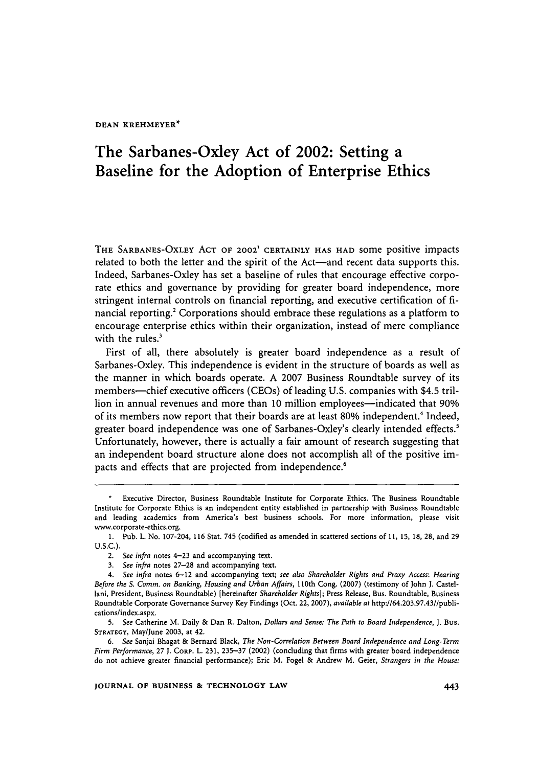**DEAN KREHMEYER\***

### The Sarbanes-Oxley Act of 2002: Setting a Baseline for the Adoption of Enterprise Ethics

THE SARBANES-OXLEY ACT OF 2002' CERTAINLY HAS HAD some positive impacts related to both the letter and the spirit of the Act-and recent data supports this. Indeed, Sarbanes-Oxley has set a baseline of rules that encourage effective corporate ethics and governance **by** providing for greater board independence, more stringent internal controls on financial reporting, and executive certification of **fi**nancial reporting.<sup>2</sup> Corporations should embrace these regulations as a platform to encourage enterprise ethics within their organization, instead of mere compliance with the rules.<sup>3</sup>

First of all, there absolutely is greater board independence as a result of Sarbanes-Oxley. This independence is evident in the structure of boards as well as the manner in which boards operate. A 2007 Business Roundtable survey of its members-chief executive officers (CEOs) of leading U.S. companies with \$4.5 trillion in annual revenues and more than 10 million employees—indicated that 90% of its members now report that their boards are at least 80% independent.' Indeed, greater board independence was one of Sarbanes-Oxley's clearly intended effects.<sup>5</sup> Unfortunately, however, there is actually a fair amount of research suggesting that an independent board structure alone does not accomplish all of the positive impacts and effects that are projected from independence.<sup>6</sup>

Executive Director, Business Roundtable Institute for Corporate Ethics. The Business Roundtable Institute for Corporate Ethics is an independent entity established in partnership with Business Roundtable and leading academics from America's best business schools. For more information, please visit www.corporate-ethics.org.

<sup>1.</sup> Pub. L. No. 107-204, 116 Stat. 745 (codified as amended in scattered sections of 11, 15, **18,** 28, and 29 U.S.C.).

*<sup>2.</sup> See infra* notes 4-23 and accompanying text.

*<sup>3.</sup> See infra* notes **27-28** and accompanying text.

*<sup>4.</sup> See infra* notes 6-12 and accompanying text; *see also Shareholder Rights and Proxy Access: Hearing Before the S. Comm. on Banking, Housing and Urban Affairs,* 110th Cong. (2007) (testimony of John **J.** Castellani, President, Business Roundtable) [hereinafter *Shareholder Rights];* Press Release, Bus. Roundtable, Business Roundtable Corporate Governance Survey Key Findings (Oct. 22, 2007), *available at* http://64.203.97.43//publications/index.aspx.

*<sup>5.</sup> See* Catherine M. Daily & Dan R. Dalton, *Dollars and Sense: The Path to Board Independence,* **J.** Bus. STRATEGY, May/June 2003, at 42.

*<sup>6.</sup> See* Sanjai Bhagat & Bernard Black, *The Non-Correlation Between Board Independence and Long-Term Firm Performance,* 27 **J.** CORP. L. 231, 235-37 (2002) (concluding that firms with greater board independence do not achieve greater financial performance); Eric M. Fogel & Andrew M. Geier, *Strangers in the House:*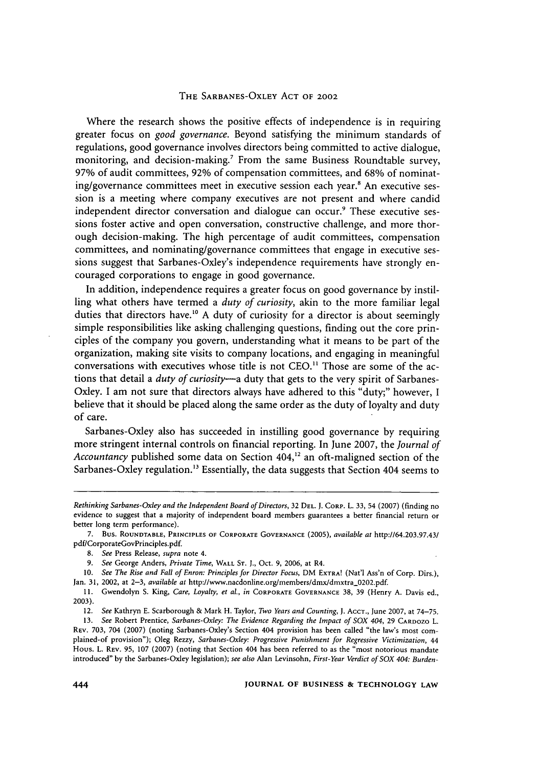#### THE **SARBANES-OXLEY ACT** OF 2002

Where the research shows the positive effects of independence is in requiring greater focus on *good governance.* Beyond satisfying the minimum standards of regulations, good governance involves directors being committed to active dialogue, monitoring, and decision-making.<sup>7</sup> From the same Business Roundtable survey, 97% of audit committees, **92%** of compensation committees, and 68% of nominating/governance committees meet in executive session each year.<sup>8</sup> An executive session is a meeting where company executives are not present and where candid independent director conversation and dialogue can occur.<sup>9</sup> These executive sessions foster active and open conversation, constructive challenge, and more thorough decision-making. The high percentage of audit committees, compensation committees, **and** nominating/governance committees that engage in executive sessions suggest that Sarbanes-Oxley's independence requirements have strongly encouraged corporations to engage in good governance.

In addition, independence requires a greater focus on good governance by instilling what others have termed a *duty of curiosity,* akin to the more familiar legal duties that directors have.<sup>10</sup> A duty of curiosity for a director is about seemingly simple responsibilities like asking challenging questions, finding out the core principles of the company you govern, understanding what it means to be part of the organization, making site visits to company locations, and engaging in meaningful conversations with executives whose title is not CEO." Those are some of the actions that detail a *duty of curiosity*—a duty that gets to the very spirit of Sarbanes-Oxley. I am not sure that directors always have adhered to this "duty;" however, I believe that it should be placed along the same order as the duty of loyalty and duty of care.

Sarbanes-Oxley also has succeeded in instilling good governance by requiring more stringent internal controls on financial reporting. In June 2007, the *Journal of* Accountancy published some data on Section 404,<sup>12</sup> an oft-maligned section of the Sarbanes-Oxley regulation.<sup>13</sup> Essentially, the data suggests that Section 404 seems to

*Rethinking Sarbanes-Oxley and the Independent Board of Directors,* 32 **DEL. J. CORP.** L. **33,** 54 (2007) (finding no evidence to suggest that a majority of independent board members guarantees a better financial return or better long term performance).

**<sup>7.</sup>** Bus. ROUNDTABLE, PRINCIPLES **OF** CORPORATE GOVERNANCE (2005), *available at* http://64.203.97.43/ pdf/CorporateGovPrinciples.pdf.

<sup>8.</sup> *See* Press Release, *supra* note **4.**

<sup>9.</sup> *See* George Anders, *Private Time,* **WALL ST. J.,** Oct. **9,** 2006, at R4.

**<sup>10.</sup>** *See The Rise and Fall of Enron: Principles for Director Focus,* DM **EXTRA!** (Nat'l Ass'n of Corp. Dirs.), Jan. 31, 2002, at 2-3, *available at* http://www.nacdonline.org/members/dmx/dmxtra-0202.pdf.

**<sup>11.</sup>** Gwendolyn S. King, *Care, Loyalty, et al., in* **CORPORATE GOVERNANCE** 38, **39** (Henry A. Davis ed., 2003).

<sup>12.</sup> *See* Kathryn **E.** Scarborough & Mark H. Taylor, *Two Years and Counting, J.* ACCT., June 2007, at 74-75.

**<sup>13.</sup>** *See* Robert Prentice, *Sarbanes-Oxley: The Evidence Regarding the Impact of SOX 404,* 29 CARDozo L. REV. 703, 704 (2007) (noting Sarbanes-Oxley's Section 404 provision has been called "the law's most complained-of provision"); Oleg Rezzy, *Sarbanes-Oxley: Progressive Punishment for Regressive Victimization, 44* Hous. L. REV. 95, 107 (2007) (noting that Section 404 has been referred to as the "most notorious mandate introduced" by the Sarbanes-Oxley legislation); *see also* Alan Levinsohn, *First-Year Verdict of SOX 404: Burden-*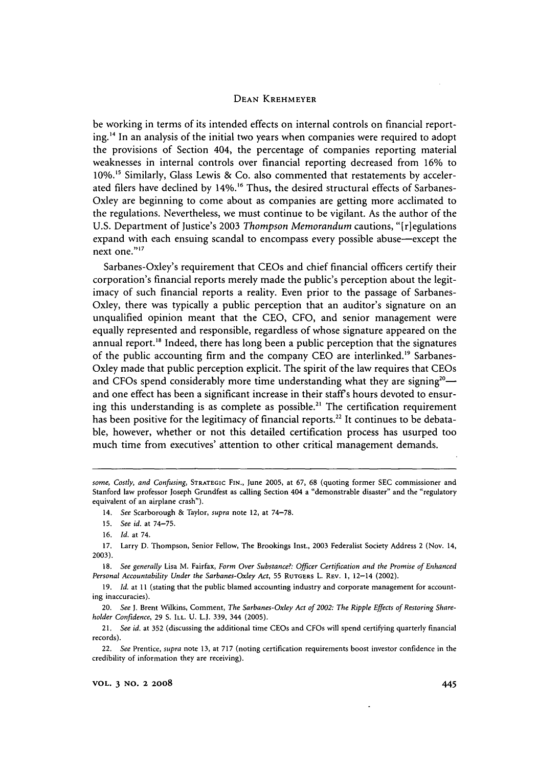#### **DEAN** KREHMEYER

be working in terms of its intended effects on internal controls on financial reporting. 4 In an analysis of the initial two years when companies were required to adopt the provisions of Section 404, the percentage of companies reporting material weaknesses in internal controls over financial reporting decreased from **16%** to **10%."** Similarly, Glass Lewis & Co. also commented that restatements by accelerated filers have declined by 14%.<sup>16</sup> Thus, the desired structural effects of Sarbanes-Oxley are beginning to come about as companies are getting more acclimated to the regulations. Nevertheless, we must continue to be vigilant. As the author of the U.S. Department of Justice's 2003 *Thompson Memorandum* cautions, "[riegulations expand with each ensuing scandal to encompass every possible abuse-except the next one."<sup>17</sup>

Sarbanes-Oxley's requirement that CEOs and chief financial officers certify their corporation's financial reports merely made the public's perception about the legitimacy of such financial reports a reality. Even prior to the passage of Sarbanes-Oxley, there was typically a public perception that an auditor's signature on an unqualified opinion meant that the CEO, CFO, and senior management were equally represented and responsible, regardless of whose signature appeared on the annual report.<sup>18</sup> Indeed, there has long been a public perception that the signatures of the public accounting firm and the company CEO are interlinked.<sup>19</sup> Sarbanes-Oxley made that public perception explicit. The spirit of the law requires that CEOs and CFOs spend considerably more time understanding what they are signing<sup>20</sup> $$ and one effect has been a significant increase in their staff's hours devoted to ensuring this understanding is as complete as possible.<sup>21</sup> The certification requirement has been positive for the legitimacy of financial reports.<sup>22</sup> It continues to be debatable, however, whether or not this detailed certification process has usurped too much time from executives' attention to other critical management demands.

*some, Costly, and Confusing,* STRATEGIC **FIN.,** June **2005,** at 67, **68** (quoting former **SEC** commissioner and Stanford law professor Joseph Grundfest as calling Section 404 a "demonstrable disaster" and the "regulatory equivalent of an airplane crash").

<sup>14.</sup> *See* Scarborough & Taylor, *supra* note 12, at 74-78.

<sup>15.</sup> *See id.* at 74-75.

<sup>16.</sup> *Id.* at 74.

<sup>17.</sup> Larry D. Thompson, Senior Fellow, The Brookings Inst., 2003 Federalist Society Address 2 (Nov. 14, 2003).

<sup>18.</sup> *See generally* Lisa M. Fairfax, *Form Over Substance?: Officer Certification and the Promise of Enhanced Personal Accountability Under the Sarbanes-Oxley Act,* 55 RUTGERS L. REV. **1,** 12-14 (2002).

**<sup>19.</sup>** *Id.* at **I I** (stating that the public blamed accounting industry and corporate management for accounting inaccuracies).

<sup>20.</sup> *See* J. Brent Wilkins, Comment, *The Sarbanes-Oxley Act of 2002: The Ripple Effects of Restoring Shareholder Confidence,* 29 **S. ILL.** U. L.J. 339, 344 (2005).

<sup>21.</sup> *See id.* at 352 (discussing the additional time CEOs and CFOs will spend certifying quarterly financial records).

<sup>22.</sup> See Prentice, *supra* note 13, at 717 (noting certification requirements boost investor confidence in the credibility of information they are receiving).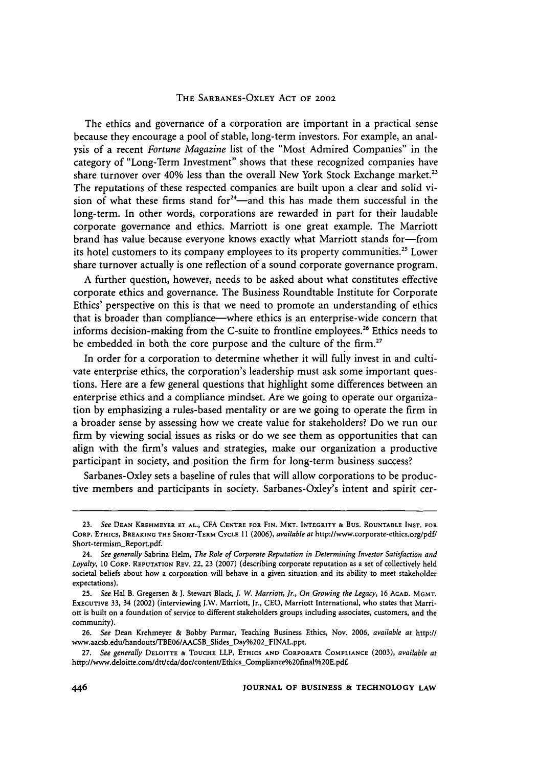#### THE SARBANES-OXLEY ACT OF 2002

The ethics and governance of a corporation are important in a practical sense because they encourage a pool of stable, long-term investors. For example, an analysis of a recent *Fortune Magazine* list of the "Most Admired Companies" in the category of "Long-Term Investment" shows that these recognized companies have share turnover over 40% less than the overall New York Stock Exchange market.<sup>23</sup> The reputations of these respected companies are built upon a clear and solid vision of what these firms stand for $24$ -and this has made them successful in the long-term. In other words, corporations are rewarded in part for their laudable corporate governance and ethics. Marriott is one great example. The Marriott brand has value because everyone knows exactly what Marriott stands for-from its hotel customers to its company employees to its property communities." Lower share turnover actually is one reflection of a sound corporate governance program.

A further question, however, needs to be asked about what constitutes effective corporate ethics and governance. The Business Roundtable Institute for Corporate Ethics' perspective on this is that we need to promote an understanding of ethics that is broader than compliance—where ethics is an enterprise-wide concern that informs decision-making from the C-suite to frontline employees.<sup>26</sup> Ethics needs to be embedded in both the core purpose and the culture of the firm.<sup>27</sup>

In order for a corporation to determine whether it will fully invest in and cultivate enterprise ethics, the corporation's leadership must ask some important questions. Here are a few general questions that highlight some differences between an enterprise ethics and a compliance mindset. Are we going to operate our organization by emphasizing a rules-based mentality or are we going to operate the firm in a broader sense by assessing how we create value for stakeholders? Do we run our firm by viewing social issues as risks or do we see them as opportunities that can align with the firm's values and strategies, make our organization a productive participant in society, and position the firm for long-term business success?

Sarbanes-Oxley sets a baseline of rules that will allow corporations to be productive members and participants in society. Sarbanes-Oxley's intent and spirit cer-

<sup>23.</sup> *See* **DEAN KREHMEYER ET AL., CFA CENTRE FOR FIN.** MKT. **INTEGRITY &** Bus. **ROUNTABLE INST. FOR CORP. ETHICS,** BREAKING THE SHORT-TERM **CYCLE 11 (2006),** *available at* http://www.corporate-ethics.org/pdf/ Short-termism\_Report.pdf.

<sup>24.</sup> *See generally* Sabrina Helm, *The Role of Corporate Reputation in Determining Investor Satisfaction and Loyalty,* 10 **CORP. REPUTATION REV.** 22, 23 (2007) (describing corporate reputation as a set of collectively held societal beliefs about how a corporation will behave in a given situation and its ability to meet stakeholder expectations).

**<sup>25.</sup>** *See* Hal B. Gregersen & **J.** Stewart Black, *J. W. Marriott, Jr., On Growing the Legacy,* 16 **ACAD.** MGMT. **EXECUTIVE** 33, 34 (2002) (interviewing J.W. Marriott, Jr., CEO, Marriott International, who states that Marriott is built on a foundation of service to different stakeholders groups including associates, customers, and the community).

**<sup>26.</sup>** *See* Dean Krehmeyer & Bobby Parmar, Teaching Business Ethics, Nov. 2006, *available at* http:// www.aacsb.edu/handouts/TBE06/AACSB\_Slides\_Day%202\_FINAL.ppt.

*<sup>27.</sup> See generally* **DELOITTE** & TOUCHE LLP, ETHICS **AND** CORPORATE COMPLIANCE (2003), *available at* http://www.deloitte.com/dtt/cda/doc/content/Ethics\_Compliance%20final%20E.pdf.